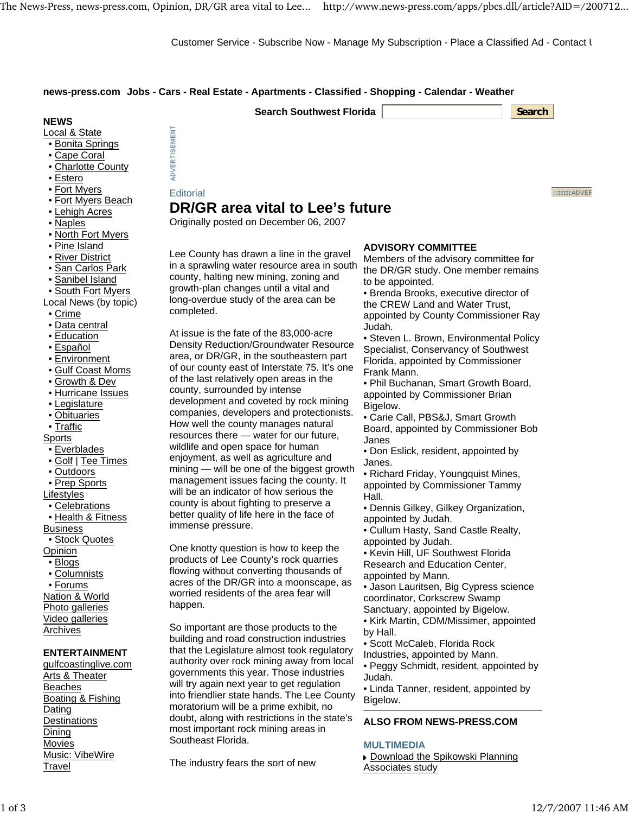ADVERTISEMENT

Customer Service - Subscribe Now - Manage My Subscription - Place a Classified Ad - Contact U

# **news-press.com Jobs - Cars - Real Estate - Apartments - Classified - Shopping - Calendar - Weather**

| <b>Search Southwest Florida</b><br><b>Search</b> |
|--------------------------------------------------|
|--------------------------------------------------|

### **NEWS**

Local & State

- Bonita Springs
- Cape Coral
- Charlotte County
- Estero
- Fort Myers
- Fort Myers Beach
- Lehigh Acres
- Naples
- North Fort Myers
- Pine Island
- River District
- San Carlos Park
- Sanibel Island
- South Fort Myers
- Local News (by topic)
- Crime
- Data central
- Education
- Español
- Environment
- Gulf Coast Moms
- Growth & Dev
- Hurricane Issues
- Legislature
- Obituaries
- Traffic
- Sports
- Everblades
- Golf | Tee Times
- Outdoors
- Prep Sports

**Lifestyles** 

- Celebrations • Health & Fitness
- 

Business

• Stock Quotes **Opinion** 

- Blogs
- Columnists

• Forums

Nation & World Photo galleries Video galleries

Archives

# **ENTERTAINMENT**

gulfcoastinglive.com Arts & Theater **Beaches** Boating & Fishing Dating **Destinations** Dining Movies Music: VibeWire Travel

**Editorial DR/GR area vital to Lee's future**

Originally posted on December 06, 2007

Lee County has drawn a line in the gravel in a sprawling water resource area in south county, halting new mining, zoning and growth-plan changes until a vital and long-overdue study of the area can be completed.

At issue is the fate of the 83,000-acre Density Reduction/Groundwater Resource area, or DR/GR, in the southeastern part of our county east of Interstate 75. It's one of the last relatively open areas in the county, surrounded by intense development and coveted by rock mining companies, developers and protectionists. How well the county manages natural resources there — water for our future, wildlife and open space for human enjoyment, as well as agriculture and mining — will be one of the biggest growth management issues facing the county. It will be an indicator of how serious the county is about fighting to preserve a better quality of life here in the face of immense pressure.

One knotty question is how to keep the products of Lee County's rock quarries flowing without converting thousands of acres of the DR/GR into a moonscape, as worried residents of the area fear will happen.

So important are those products to the building and road construction industries that the Legislature almost took regulatory authority over rock mining away from local governments this year. Those industries will try again next year to get regulation into friendlier state hands. The Lee County moratorium will be a prime exhibit, no doubt, along with restrictions in the state's most important rock mining areas in Southeast Florida.

The industry fears the sort of new

# **ADVISORY COMMITTEE**

Members of the advisory committee for the DR/GR study. One member remains to be appointed.

• Brenda Brooks, executive director of the CREW Land and Water Trust, appointed by County Commissioner Ray Judah.

• Steven L. Brown, Environmental Policy Specialist, Conservancy of Southwest Florida, appointed by Commissioner Frank Mann.

• Phil Buchanan, Smart Growth Board, appointed by Commissioner Brian Bigelow.

• Carie Call, PBS&J, Smart Growth Board, appointed by Commissioner Bob Janes

• Don Eslick, resident, appointed by Janes.

• Richard Friday, Youngquist Mines, appointed by Commissioner Tammy Hall.

• Dennis Gilkey, Gilkey Organization, appointed by Judah.

• Cullum Hasty, Sand Castle Realty, appointed by Judah.

• Kevin Hill, UF Southwest Florida Research and Education Center, appointed by Mann.

• Jason Lauritsen, Big Cypress science coordinator, Corkscrew Swamp Sanctuary, appointed by Bigelow.

• Kirk Martin, CDM/Missimer, appointed by Hall.

• Scott McCaleb, Florida Rock Industries, appointed by Mann.

• Peggy Schmidt, resident, appointed by Judah.

• Linda Tanner, resident, appointed by Bigelow.

# **ALSO FROM NEWS-PRESS.COM**

#### **MULTIMEDIA**

Download the Spikowski Planning Associates study

 $\ldots \ldots$  ADVER